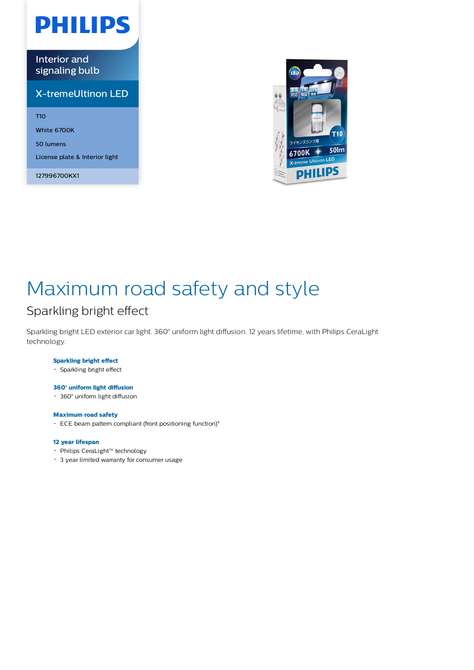# **PHILIPS**

Interior and signaling bulb

### X-tremeUltinon LED

T10

White 6700K

50 lumens

License plate & Interior light

127996700KX1



## Maximum road safety and style

### Sparkling bright effect

Sparkling bright LED exterior car light. 360° uniform light diffusion. 12 years lifetime, with Philips CeraLight technology.

### **Sparkling bright effect**

Sparkling bright effect

### **360° uniform light diffusion**

360° uniform light diffusion

#### **Maximum road safety**

ECE beam pattern compliant (front positioning function)\*

#### **12 year lifespan**

- Philips CeraLight™ technology
- 3 year limited warranty for consumer usage